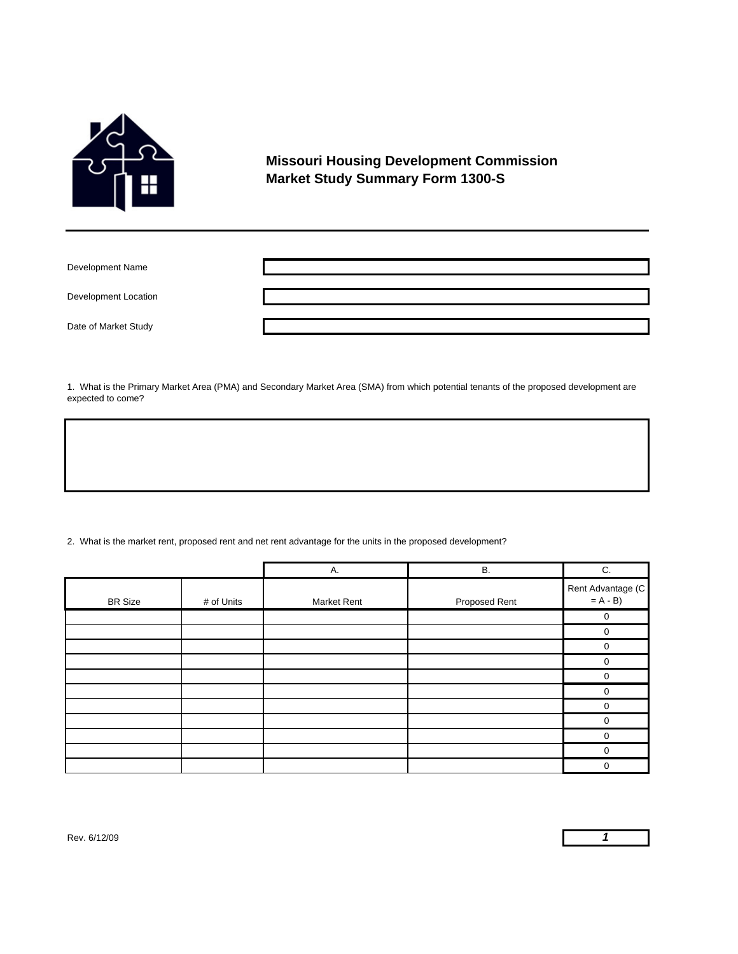

## **Missouri Housing Development Commission Market Study Summary Form 1300-S**

Development Name

Development Location

Date of Market Study

1. What is the Primary Market Area (PMA) and Secondary Market Area (SMA) from which potential tenants of the proposed development are expected to come?

2. What is the market rent, proposed rent and net rent advantage for the units in the proposed development?

|                |            | А.          | <b>B.</b>     | C.                             |
|----------------|------------|-------------|---------------|--------------------------------|
| <b>BR Size</b> | # of Units | Market Rent | Proposed Rent | Rent Advantage (C<br>$= A - B$ |
|                |            |             |               | ∩                              |
|                |            |             |               | ∩                              |
|                |            |             |               |                                |
|                |            |             |               | ∩                              |
|                |            |             |               |                                |
|                |            |             |               |                                |
|                |            |             |               |                                |
|                |            |             |               |                                |
|                |            |             |               |                                |
|                |            |             |               |                                |
|                |            |             |               |                                |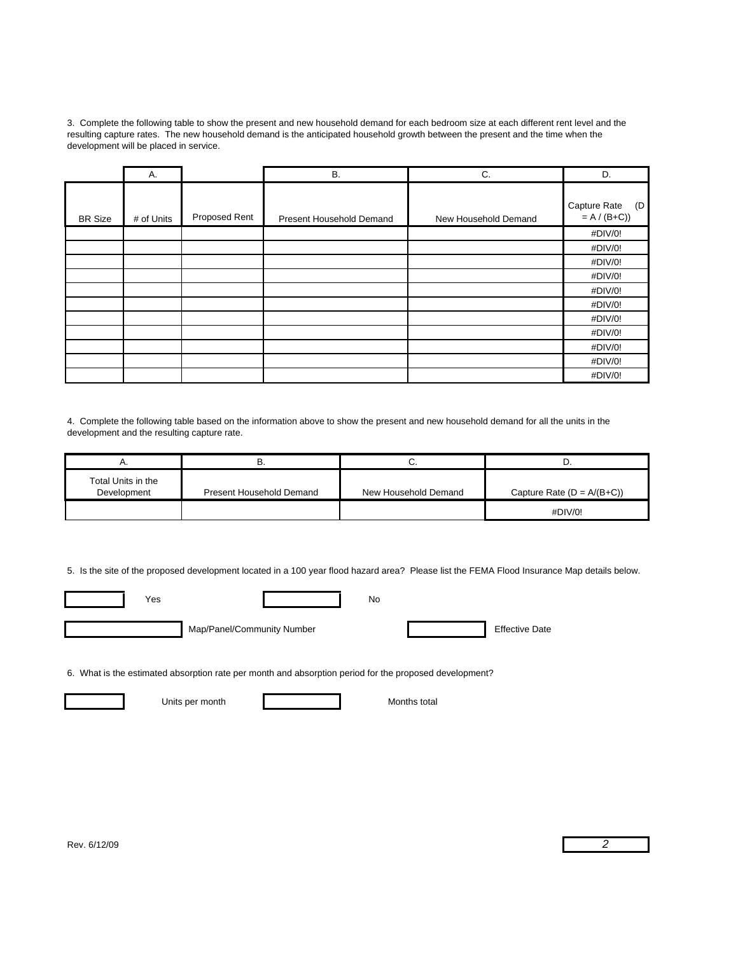3. Complete the following table to show the present and new household demand for each bedroom size at each different rent level and the resulting capture rates. The new household demand is the anticipated household growth between the present and the time when the development will be placed in service.

|                | Α.         |               | <b>B.</b>                | C.                   | D.                                   |
|----------------|------------|---------------|--------------------------|----------------------|--------------------------------------|
| <b>BR Size</b> | # of Units | Proposed Rent | Present Household Demand | New Household Demand | Capture Rate<br>(D)<br>$= A / (B+C)$ |
|                |            |               |                          |                      | #DIV/0!                              |
|                |            |               |                          |                      | #DIV/0!                              |
|                |            |               |                          |                      | #DIV/0!                              |
|                |            |               |                          |                      | #DIV/0!                              |
|                |            |               |                          |                      | #DIV/0!                              |
|                |            |               |                          |                      | #DIV/0!                              |
|                |            |               |                          |                      | #DIV/0!                              |
|                |            |               |                          |                      | #DIV/0!                              |
|                |            |               |                          |                      | #DIV/0!                              |
|                |            |               |                          |                      | #DIV/0!                              |
|                |            |               |                          |                      | #DIV/0!                              |

4. Complete the following table based on the information above to show the present and new household demand for all the units in the development and the resulting capture rate.

| , , ,                             |                          | v.                   |                              |
|-----------------------------------|--------------------------|----------------------|------------------------------|
| Total Units in the<br>Development | Present Household Demand | New Household Demand | Capture Rate $(D = A/(B+C))$ |
|                                   |                          |                      | #DIV/0!                      |

5. Is the site of the proposed development located in a 100 year flood hazard area? Please list the FEMA Flood Insurance Map details below.

| Yes |                            | No |                       |
|-----|----------------------------|----|-----------------------|
|     | Map/Panel/Community Number |    | <b>Effective Date</b> |

6. What is the estimated absorption rate per month and absorption period for the proposed development?

Units per month Months total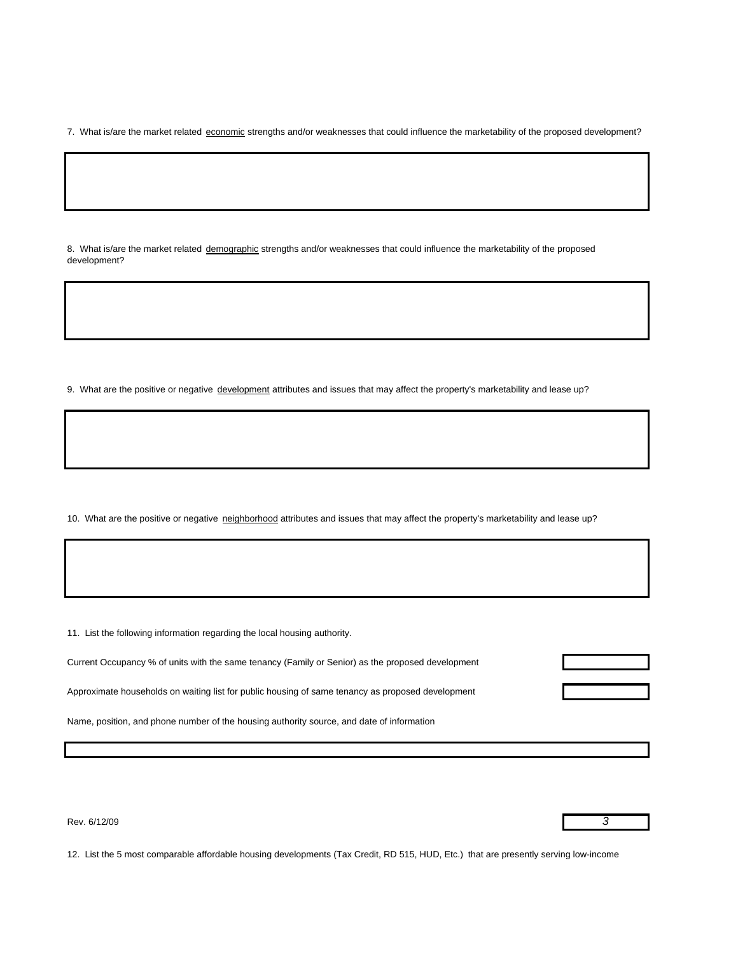7. What is/are the market related economic strengths and/or weaknesses that could influence the marketability of the proposed development?

8. What is/are the market related demographic strengths and/or weaknesses that could influence the marketability of the proposed development?

9. What are the positive or negative development attributes and issues that may affect the property's marketability and lease up?

10. What are the positive or negative neighborhood attributes and issues that may affect the property's marketability and lease up?

11. List the following information regarding the local housing authority.

| Current Occupancy % of units with the same tenancy (Family or Senior) as the proposed development |  |
|---------------------------------------------------------------------------------------------------|--|
|                                                                                                   |  |
| Approximate households on waiting list for public housing of same tenancy as proposed development |  |

Name, position, and phone number of the housing authority source, and date of information

Rev. 6/12/09 *3*

12. List the 5 most comparable affordable housing developments (Tax Credit, RD 515, HUD, Etc.) that are presently serving low-income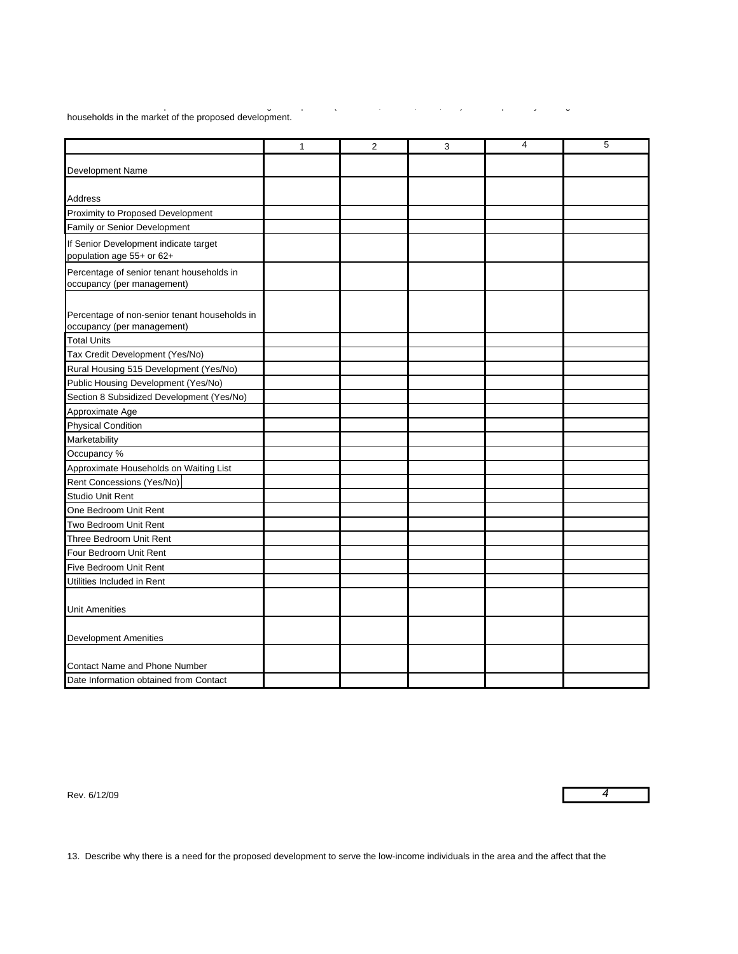p g p ( , , ,) p y g households in the market of the proposed development.

|                                                                             | $\mathbf{1}$ | $\overline{2}$ | 3 | 4 | 5 |
|-----------------------------------------------------------------------------|--------------|----------------|---|---|---|
| Development Name                                                            |              |                |   |   |   |
|                                                                             |              |                |   |   |   |
| Address                                                                     |              |                |   |   |   |
| Proximity to Proposed Development                                           |              |                |   |   |   |
| Family or Senior Development                                                |              |                |   |   |   |
| If Senior Development indicate target<br>population age 55+ or 62+          |              |                |   |   |   |
| Percentage of senior tenant households in<br>occupancy (per management)     |              |                |   |   |   |
| Percentage of non-senior tenant households in<br>occupancy (per management) |              |                |   |   |   |
| <b>Total Units</b>                                                          |              |                |   |   |   |
| Tax Credit Development (Yes/No)                                             |              |                |   |   |   |
| Rural Housing 515 Development (Yes/No)                                      |              |                |   |   |   |
| Public Housing Development (Yes/No)                                         |              |                |   |   |   |
| Section 8 Subsidized Development (Yes/No)                                   |              |                |   |   |   |
| Approximate Age                                                             |              |                |   |   |   |
| <b>Physical Condition</b>                                                   |              |                |   |   |   |
| Marketability                                                               |              |                |   |   |   |
| Occupancy %                                                                 |              |                |   |   |   |
| Approximate Households on Waiting List                                      |              |                |   |   |   |
| Rent Concessions (Yes/No)                                                   |              |                |   |   |   |
| <b>Studio Unit Rent</b>                                                     |              |                |   |   |   |
| One Bedroom Unit Rent                                                       |              |                |   |   |   |
| Two Bedroom Unit Rent                                                       |              |                |   |   |   |
| Three Bedroom Unit Rent                                                     |              |                |   |   |   |
| Four Bedroom Unit Rent                                                      |              |                |   |   |   |
| Five Bedroom Unit Rent                                                      |              |                |   |   |   |
| Utilities Included in Rent                                                  |              |                |   |   |   |
|                                                                             |              |                |   |   |   |
| <b>Unit Amenities</b>                                                       |              |                |   |   |   |
| <b>Development Amenities</b>                                                |              |                |   |   |   |
| Contact Name and Phone Number                                               |              |                |   |   |   |
| Date Information obtained from Contact                                      |              |                |   |   |   |

| Rev. 6/12/09 |  |
|--------------|--|
|              |  |

13. Describe why there is a need for the proposed development to serve the low-income individuals in the area and the affect that the